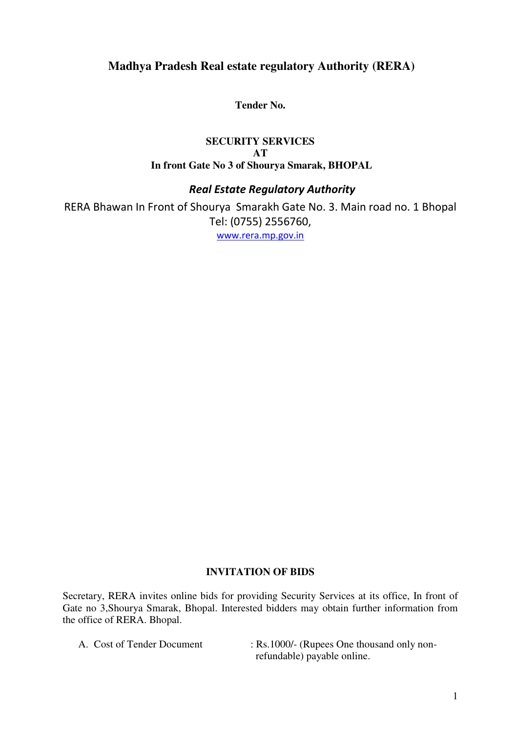# **Madhya Pradesh Real estate regulatory Authority (RERA)**

**Tender No.** 

#### **SECURITY SERVICES AT In front Gate No 3 of Shourya Smarak, BHOPAL**

## *Real Estate Regulatory Authority*

RERA Bhawan In Front of Shourya Smarakh Gate No. 3. Main road no. 1 Bhopal Tel: (0755) 2556760, [www.rera.mp.gov.in](http://www.rera.mp.gov.in/)

#### **INVITATION OF BIDS**

Secretary, RERA invites online bids for providing Security Services at its office, In front of Gate no 3,Shourya Smarak, Bhopal. Interested bidders may obtain further information from the office of RERA. Bhopal.

- 
- A. Cost of Tender Document : Rs.1000/- (Rupees One thousand only nonrefundable) payable online.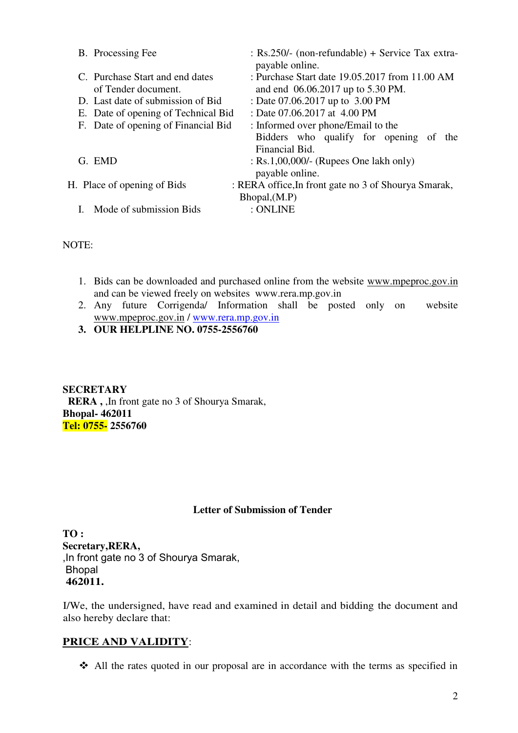| B. Processing Fee                                      | : Rs.250/- (non-refundable) + Service Tax extra-<br>payable online.                 |
|--------------------------------------------------------|-------------------------------------------------------------------------------------|
| C. Purchase Start and end dates<br>of Tender document. | : Purchase Start date 19.05.2017 from 11.00 AM<br>and end 06.06.2017 up to 5.30 PM. |
| D. Last date of submission of Bid                      | : Date 07.06.2017 up to 3.00 PM                                                     |
| E. Date of opening of Technical Bid                    | : Date 07.06.2017 at 4.00 PM                                                        |
| F. Date of opening of Financial Bid                    | : Informed over phone/Email to the                                                  |
|                                                        | Bidders who qualify for opening of the<br>Financial Bid.                            |
| G. EMD                                                 | $:$ Rs.1,00,000/- (Rupees One lakh only)<br>payable online.                         |
| H. Place of opening of Bids                            | : RERA office, In front gate no 3 of Shourya Smarak,                                |
|                                                        | Bhopal,(M.P)                                                                        |
| Mode of submission Bids                                | : ONLINE                                                                            |
|                                                        |                                                                                     |

NOTE:

- 1. Bids can be downloaded and purchased online from the website www.mpeproc.gov.in and can be viewed freely on websites www.rera.mp.gov.in
- 2. Any future Corrigenda/ Information shall be posted only on website [www.mpeproc.gov.in](http://www.mpeproc.gov.in/) / [www.rera.mp.gov.in](http://www.rera.mp.gov.in/)
- **3. OUR HELPLINE NO. 0755-2556760**

**SECRETARY RERA ,** ,In front gate no 3 of Shourya Smarak, **Bhopal- 462011 Tel: 0755- 2556760** 

#### **Letter of Submission of Tender**

**TO : Secretary,RERA,**  ,In front gate no 3 of Shourya Smarak, Bhopal **462011.** 

I/We, the undersigned, have read and examined in detail and bidding the document and also hereby declare that:

#### **PRICE AND VALIDITY**:

All the rates quoted in our proposal are in accordance with the terms as specified in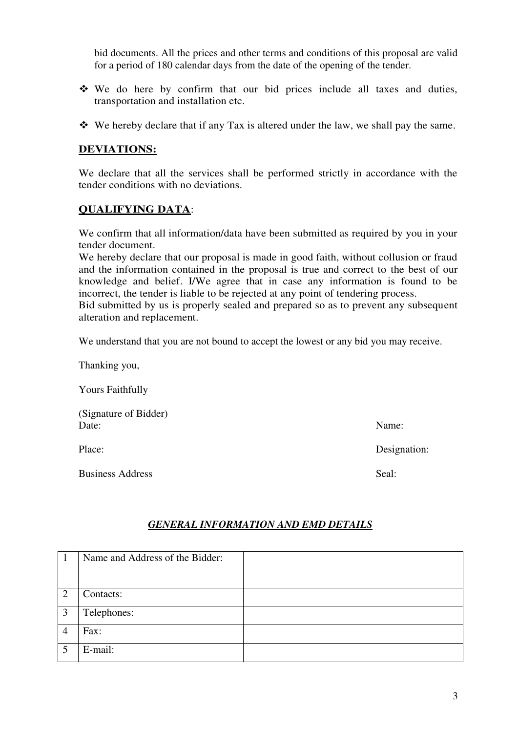bid documents. All the prices and other terms and conditions of this proposal are valid for a period of 180 calendar days from the date of the opening of the tender.

- We do here by confirm that our bid prices include all taxes and duties, transportation and installation etc.
- $\mathbf{\hat{P}}$  We hereby declare that if any Tax is altered under the law, we shall pay the same.

### **DEVIATIONS:**

We declare that all the services shall be performed strictly in accordance with the tender conditions with no deviations.

### **QUALIFYING DATA**:

We confirm that all information/data have been submitted as required by you in your tender document.

We hereby declare that our proposal is made in good faith, without collusion or fraud and the information contained in the proposal is true and correct to the best of our knowledge and belief. I/We agree that in case any information is found to be incorrect, the tender is liable to be rejected at any point of tendering process.

Bid submitted by us is properly sealed and prepared so as to prevent any subsequent alteration and replacement.

We understand that you are not bound to accept the lowest or any bid you may receive.

Thanking you,

Yours Faithfully

(Signature of Bidder) Date: Name:

Business Address Seal:

Place: Designation: Designation:

#### *GENERAL INFORMATION AND EMD DETAILS*

|   | Name and Address of the Bidder: |  |
|---|---------------------------------|--|
|   |                                 |  |
| ာ | Contacts:                       |  |
| 3 | Telephones:                     |  |
| 4 | Fax:                            |  |
|   | E-mail:                         |  |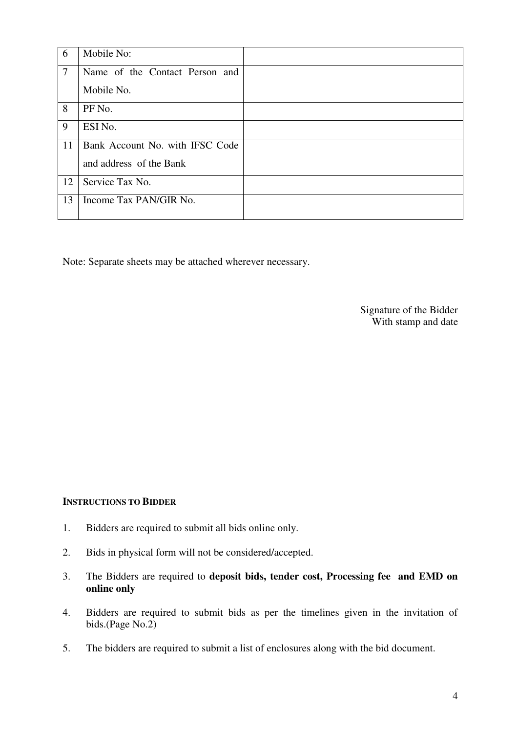| 6      | Mobile No:                      |  |
|--------|---------------------------------|--|
| $\tau$ | Name of the Contact Person and  |  |
|        | Mobile No.                      |  |
| 8      | PF No.                          |  |
| 9      | ESI No.                         |  |
| 11     | Bank Account No. with IFSC Code |  |
|        | and address of the Bank         |  |
| 12     | Service Tax No.                 |  |
| 13     | Income Tax PAN/GIR No.          |  |

Note: Separate sheets may be attached wherever necessary.

Signature of the Bidder With stamp and date

#### **INSTRUCTIONS TO BIDDER**

- 1. Bidders are required to submit all bids online only.
- 2. Bids in physical form will not be considered/accepted.
- 3. The Bidders are required to **deposit bids, tender cost, Processing fee and EMD on online only**
- 4. Bidders are required to submit bids as per the timelines given in the invitation of bids.(Page No.2)
- 5. The bidders are required to submit a list of enclosures along with the bid document.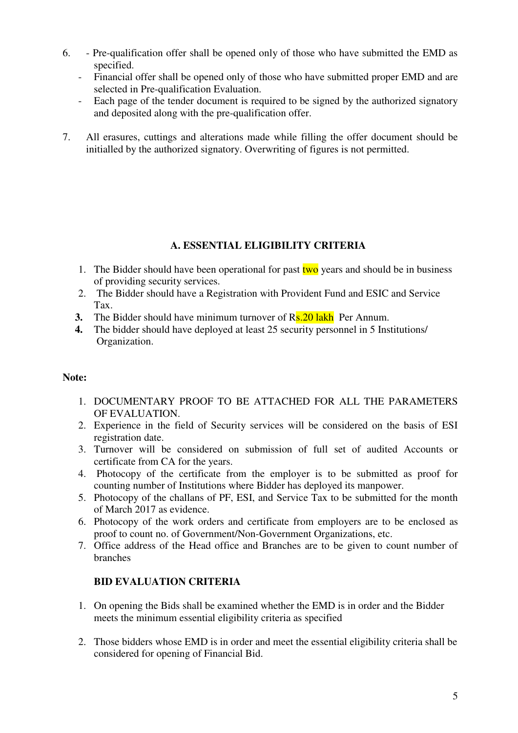- 6. Pre-qualification offer shall be opened only of those who have submitted the EMD as specified.
	- Financial offer shall be opened only of those who have submitted proper EMD and are selected in Pre-qualification Evaluation.
	- Each page of the tender document is required to be signed by the authorized signatory and deposited along with the pre-qualification offer.
- 7. All erasures, cuttings and alterations made while filling the offer document should be initialled by the authorized signatory. Overwriting of figures is not permitted.

## **A. ESSENTIAL ELIGIBILITY CRITERIA**

- 1. The Bidder should have been operational for past  $two$  years and should be in business of providing security services.
- 2. The Bidder should have a Registration with Provident Fund and ESIC and Service Tax.
- **3.** The Bidder should have minimum turnover of R<sub>s</sub>. 20 lakh Per Annum.
- **4.** The bidder should have deployed at least 25 security personnel in 5 Institutions/ Organization.

## **Note:**

- 1. DOCUMENTARY PROOF TO BE ATTACHED FOR ALL THE PARAMETERS OF EVALUATION.
- 2. Experience in the field of Security services will be considered on the basis of ESI registration date.
- 3. Turnover will be considered on submission of full set of audited Accounts or certificate from CA for the years.
- 4. Photocopy of the certificate from the employer is to be submitted as proof for counting number of Institutions where Bidder has deployed its manpower.
- 5. Photocopy of the challans of PF, ESI, and Service Tax to be submitted for the month of March 2017 as evidence.
- 6. Photocopy of the work orders and certificate from employers are to be enclosed as proof to count no. of Government/Non-Government Organizations, etc.
- 7. Office address of the Head office and Branches are to be given to count number of branches

## **BID EVALUATION CRITERIA**

- 1. On opening the Bids shall be examined whether the EMD is in order and the Bidder meets the minimum essential eligibility criteria as specified
- 2. Those bidders whose EMD is in order and meet the essential eligibility criteria shall be considered for opening of Financial Bid.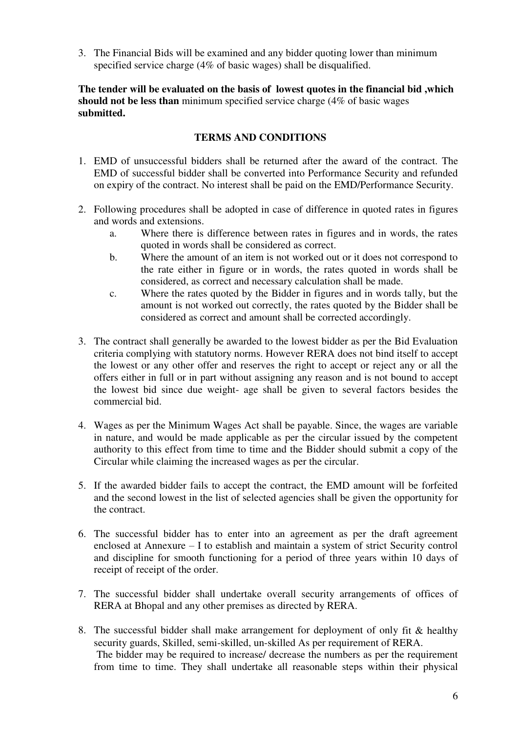3. The Financial Bids will be examined and any bidder quoting lower than minimum specified service charge (4% of basic wages) shall be disqualified.

**The tender will be evaluated on the basis of lowest quotes in the financial bid ,which should not be less than** minimum specified service charge (4% of basic wages **submitted.** 

### **TERMS AND CONDITIONS**

- 1. EMD of unsuccessful bidders shall be returned after the award of the contract. The EMD of successful bidder shall be converted into Performance Security and refunded on expiry of the contract. No interest shall be paid on the EMD/Performance Security.
- 2. Following procedures shall be adopted in case of difference in quoted rates in figures and words and extensions.
	- a. Where there is difference between rates in figures and in words, the rates quoted in words shall be considered as correct.
	- b. Where the amount of an item is not worked out or it does not correspond to the rate either in figure or in words, the rates quoted in words shall be considered, as correct and necessary calculation shall be made.
	- c. Where the rates quoted by the Bidder in figures and in words tally, but the amount is not worked out correctly, the rates quoted by the Bidder shall be considered as correct and amount shall be corrected accordingly.
- 3. The contract shall generally be awarded to the lowest bidder as per the Bid Evaluation criteria complying with statutory norms. However RERA does not bind itself to accept the lowest or any other offer and reserves the right to accept or reject any or all the offers either in full or in part without assigning any reason and is not bound to accept the lowest bid since due weight- age shall be given to several factors besides the commercial bid.
- 4. Wages as per the Minimum Wages Act shall be payable. Since, the wages are variable in nature, and would be made applicable as per the circular issued by the competent authority to this effect from time to time and the Bidder should submit a copy of the Circular while claiming the increased wages as per the circular.
- 5. If the awarded bidder fails to accept the contract, the EMD amount will be forfeited and the second lowest in the list of selected agencies shall be given the opportunity for the contract.
- 6. The successful bidder has to enter into an agreement as per the draft agreement enclosed at Annexure – I to establish and maintain a system of strict Security control and discipline for smooth functioning for a period of three years within 10 days of receipt of receipt of the order.
- 7. The successful bidder shall undertake overall security arrangements of offices of RERA at Bhopal and any other premises as directed by RERA.
- 8. The successful bidder shall make arrangement for deployment of only fit & healthy security guards, Skilled, semi-skilled, un-skilled As per requirement of RERA. The bidder may be required to increase/ decrease the numbers as per the requirement from time to time. They shall undertake all reasonable steps within their physical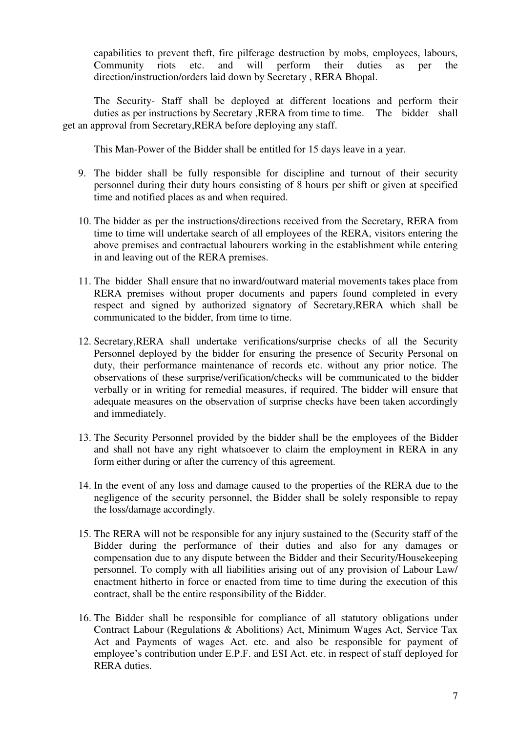capabilities to prevent theft, fire pilferage destruction by mobs, employees, labours, Community riots etc. and will perform their duties as per the direction/instruction/orders laid down by Secretary , RERA Bhopal.

The Security- Staff shall be deployed at different locations and perform their duties as per instructions by Secretary ,RERA from time to time. The bidder shall get an approval from Secretary,RERA before deploying any staff.

This Man-Power of the Bidder shall be entitled for 15 days leave in a year.

- 9. The bidder shall be fully responsible for discipline and turnout of their security personnel during their duty hours consisting of 8 hours per shift or given at specified time and notified places as and when required.
- 10. The bidder as per the instructions/directions received from the Secretary, RERA from time to time will undertake search of all employees of the RERA, visitors entering the above premises and contractual labourers working in the establishment while entering in and leaving out of the RERA premises.
- 11. The bidder Shall ensure that no inward/outward material movements takes place from RERA premises without proper documents and papers found completed in every respect and signed by authorized signatory of Secretary,RERA which shall be communicated to the bidder, from time to time.
- 12. Secretary,RERA shall undertake verifications/surprise checks of all the Security Personnel deployed by the bidder for ensuring the presence of Security Personal on duty, their performance maintenance of records etc. without any prior notice. The observations of these surprise/verification/checks will be communicated to the bidder verbally or in writing for remedial measures, if required. The bidder will ensure that adequate measures on the observation of surprise checks have been taken accordingly and immediately.
- 13. The Security Personnel provided by the bidder shall be the employees of the Bidder and shall not have any right whatsoever to claim the employment in RERA in any form either during or after the currency of this agreement.
- 14. In the event of any loss and damage caused to the properties of the RERA due to the negligence of the security personnel, the Bidder shall be solely responsible to repay the loss/damage accordingly.
- 15. The RERA will not be responsible for any injury sustained to the (Security staff of the Bidder during the performance of their duties and also for any damages or compensation due to any dispute between the Bidder and their Security/Housekeeping personnel. To comply with all liabilities arising out of any provision of Labour Law/ enactment hitherto in force or enacted from time to time during the execution of this contract, shall be the entire responsibility of the Bidder.
- 16. The Bidder shall be responsible for compliance of all statutory obligations under Contract Labour (Regulations & Abolitions) Act, Minimum Wages Act, Service Tax Act and Payments of wages Act. etc. and also be responsible for payment of employee's contribution under E.P.F. and ESI Act. etc. in respect of staff deployed for RERA duties.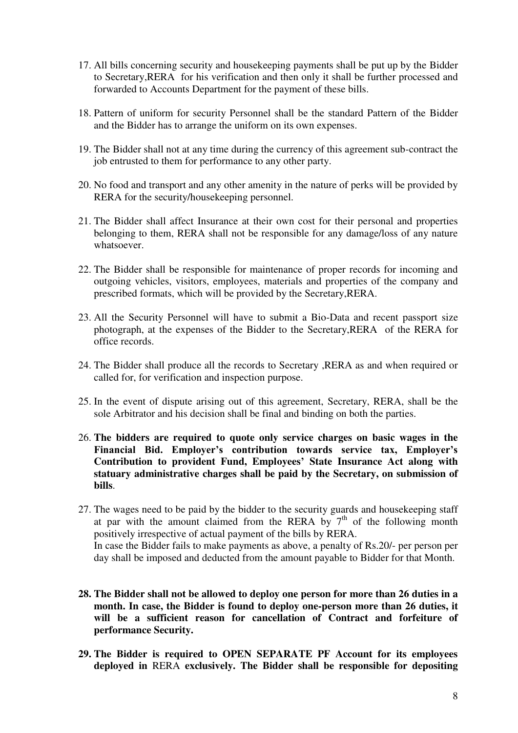- 17. All bills concerning security and housekeeping payments shall be put up by the Bidder to Secretary,RERA for his verification and then only it shall be further processed and forwarded to Accounts Department for the payment of these bills.
- 18. Pattern of uniform for security Personnel shall be the standard Pattern of the Bidder and the Bidder has to arrange the uniform on its own expenses.
- 19. The Bidder shall not at any time during the currency of this agreement sub-contract the job entrusted to them for performance to any other party.
- 20. No food and transport and any other amenity in the nature of perks will be provided by RERA for the security/housekeeping personnel.
- 21. The Bidder shall affect Insurance at their own cost for their personal and properties belonging to them, RERA shall not be responsible for any damage/loss of any nature whatsoever.
- 22. The Bidder shall be responsible for maintenance of proper records for incoming and outgoing vehicles, visitors, employees, materials and properties of the company and prescribed formats, which will be provided by the Secretary,RERA.
- 23. All the Security Personnel will have to submit a Bio-Data and recent passport size photograph, at the expenses of the Bidder to the Secretary,RERA of the RERA for office records.
- 24. The Bidder shall produce all the records to Secretary ,RERA as and when required or called for, for verification and inspection purpose.
- 25. In the event of dispute arising out of this agreement, Secretary, RERA, shall be the sole Arbitrator and his decision shall be final and binding on both the parties.
- 26. **The bidders are required to quote only service charges on basic wages in the Financial Bid. Employer's contribution towards service tax, Employer's Contribution to provident Fund, Employees' State Insurance Act along with statuary administrative charges shall be paid by the Secretary, on submission of bills**.
- 27. The wages need to be paid by the bidder to the security guards and housekeeping staff at par with the amount claimed from the RERA by  $7<sup>th</sup>$  of the following month positively irrespective of actual payment of the bills by RERA. In case the Bidder fails to make payments as above, a penalty of Rs.20/- per person per day shall be imposed and deducted from the amount payable to Bidder for that Month.
- **28. The Bidder shall not be allowed to deploy one person for more than 26 duties in a month. In case, the Bidder is found to deploy one-person more than 26 duties, it will be a sufficient reason for cancellation of Contract and forfeiture of performance Security.**
- **29. The Bidder is required to OPEN SEPARATE PF Account for its employees deployed in** RERA **exclusively. The Bidder shall be responsible for depositing**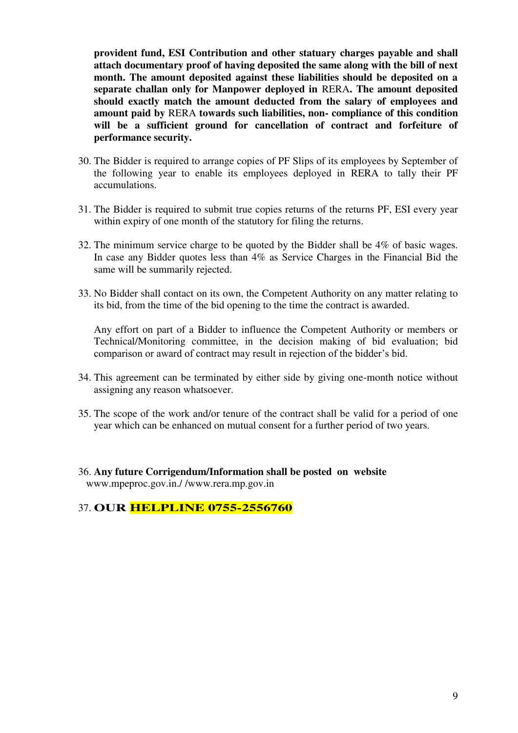**provident fund, ESI Contribution and other statuary charges payable and shall attach documentary proof of having deposited the same along with the bill of next month. The amount deposited against these liabilities should be deposited on a separate challan only for Manpower deployed in** RERA**. The amount deposited should exactly match the amount deducted from the salary of employees and amount paid by** RERA **towards such liabilities, non- compliance of this condition will be a sufficient ground for cancellation of contract and forfeiture of performance security.** 

- 30. The Bidder is required to arrange copies of PF Slips of its employees by September of the following year to enable its employees deployed in RERA to tally their PF accumulations.
- 31. The Bidder is required to submit true copies returns of the returns PF, ESI every year within expiry of one month of the statutory for filing the returns.
- 32. The minimum service charge to be quoted by the Bidder shall be 4% of basic wages. In case any Bidder quotes less than 4% as Service Charges in the Financial Bid the same will be summarily rejected.
- 33. No Bidder shall contact on its own, the Competent Authority on any matter relating to its bid, from the time of the bid opening to the time the contract is awarded.

Any effort on part of a Bidder to influence the Competent Authority or members or Technical/Monitoring committee, in the decision making of bid evaluation; bid comparison or award of contract may result in rejection of the bidder's bid.

- 34. This agreement can be terminated by either side by giving one-month notice without assigning any reason whatsoever.
- 35. The scope of the work and/or tenure of the contract shall be valid for a period of one year which can be enhanced on mutual consent for a further period of two years.
- 36. **Any future Corrigendum/Information shall be posted on website**  www.mpeproc.gov.in./ /www.rera.mp.gov.in

37. **OUR HELPLINE 0755-2556760**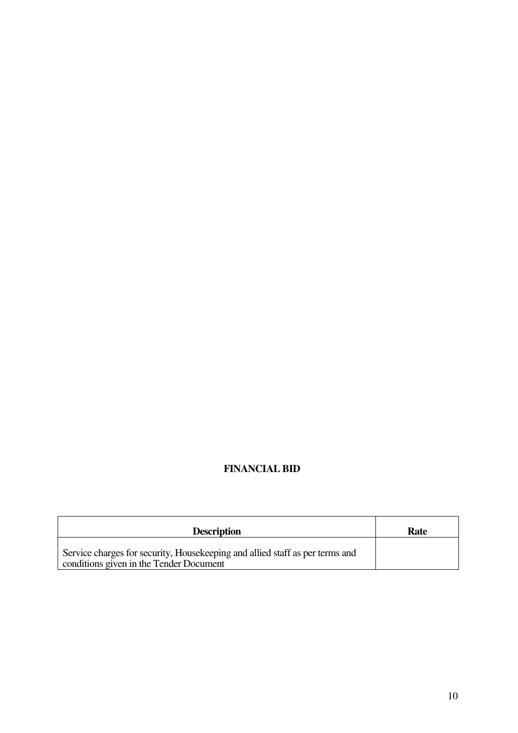# **FINANCIAL BID**

| <b>Description</b>                                                                                                      | Rate |
|-------------------------------------------------------------------------------------------------------------------------|------|
| Service charges for security, Housekeeping and allied staff as per terms and<br>conditions given in the Tender Document |      |